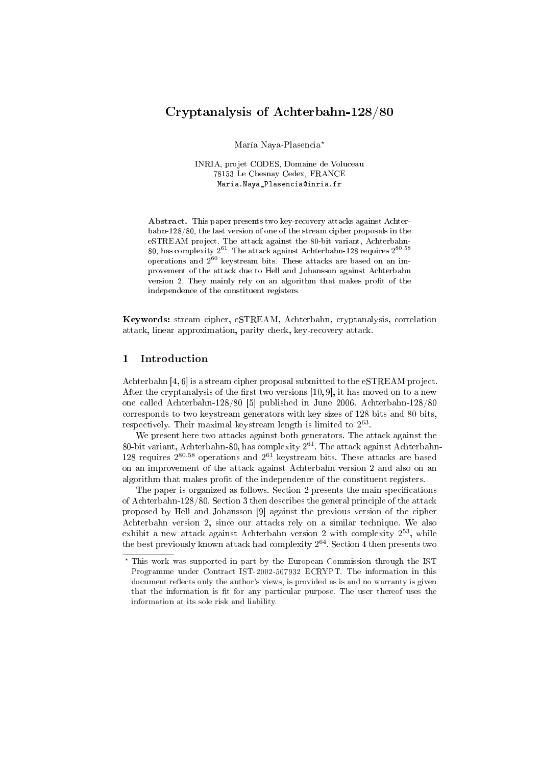# Cryptanalysis of Achterbahn-128/80

María Naya-Plasencia?

INRIA, projet CODES, Domaine de Voluceau 78153 Le Chesnay Cedex, FRANCE Maria.Naya\_Plasencia@inria.fr

Abstract. This paper presents two key-recovery attacks against Achterbahn-128/80, the last version of one of the stream cipher proposals in the eSTREAM project. The attack against the 80-bit variant, Achterbahn- $80, \rm\, has \ complex$ ity  $2^{61}.$  The attack against Achterbahn-128 requires  $2^{80.58}$ operations and  $2^{60}$  keystream bits. These attacks are based on an improvement of the attack due to Hell and Johansson against Achterbahn version 2. They mainly rely on an algorithm that makes profit of the independence of the constituent registers.

Keywords: stream cipher, eSTREAM, Achterbahn, cryptanalysis, correlation attack, linear approximation, parity check, key-recovery attack.

### 1 Introduction

Achterbahn [4, 6] is a stream cipher proposal submitted to the eSTREAM project. After the cryptanalysis of the first two versions  $[10, 9]$ , it has moved on to a new one called Achterbahn-128/80 [5] published in June 2006. Achterbahn-128/80 corresponds to two keystream generators with key sizes of 128 bits and 80 bits, respectively. Their maximal keystream length is limited to  $2^{63}$ .

We present here two attacks against both generators. The attack against the 80-bit variant, Achterbahn-80, has complexity  $2^{61}$ . The attack against Achterbahn-128 requires  $2^{80.58}$  operations and  $2^{61}$  keystream bits. These attacks are based on an improvement of the attack against Achterbahn version 2 and also on an algorithm that makes profit of the independence of the constituent registers.

The paper is organized as follows. Section 2 presents the main specifications of Achterbahn-128/80. Section 3 then describes the general principle of the attack proposed by Hell and Johansson [9] against the previous version of the cipher Achterbahn version 2, since our attacks rely on a similar technique. We also exhibit a new attack against Achterbahn version 2 with complexity  $2^{53}$ , while the best previously known attack had complexity  $2^{64}$ . Section 4 then presents two

<sup>?</sup> This work was supported in part by the European Commission through the IST Programme under Contract IST-2002-507932 ECRYPT. The information in this document reflects only the author's views, is provided as is and no warranty is given that the information is fit for any particular purpose. The user thereof uses the information at its sole risk and liability.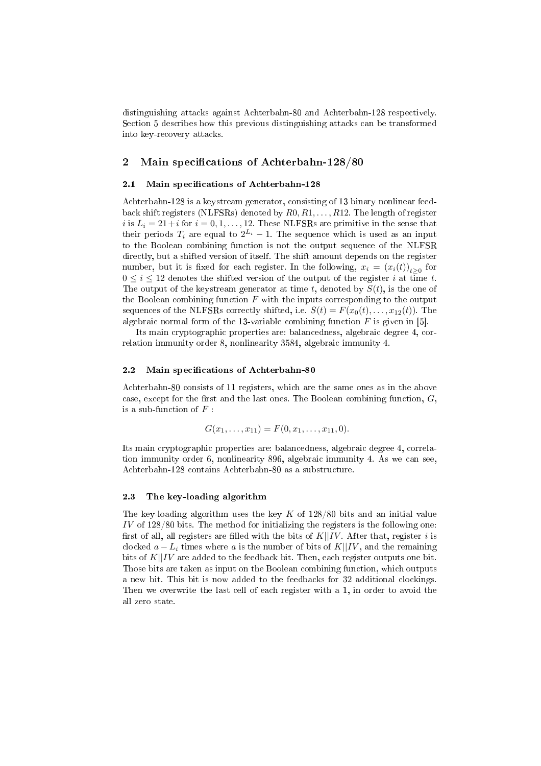distinguishing attacks against Achterbahn-80 and Achterbahn-128 respectively. Section 5 describes how this previous distinguishing attacks can be transformed into key-recovery attacks.

### 2 Main specifications of Achterbahn-128/80

### 2.1 Main specifications of Achterbahn-128

Achterbahn-128 is a keystream generator, consisting of 13 binary nonlinear feedback shift registers (NLFSRs) denoted by  $R0, R1, \ldots, R12$ . The length of register i is  $L_i = 21 + i$  for  $i = 0, 1, ..., 12$ . These NLFSRs are primitive in the sense that their periods  $T_i$  are equal to  $2^{L_i} - 1$ . The sequence which is used as an input to the Boolean combining function is not the output sequence of the NLFSR directly, but a shifted version of itself. The shift amount depends on the register number, but it is fixed for each register. In the following,  $x_i = (x_i(t))_{t \geq 0}$  for  $0 \leq i \leq 12$  denotes the shifted version of the output of the register i at time t. The output of the keystream generator at time t, denoted by  $S(t)$ , is the one of the Boolean combining function  $F$  with the inputs corresponding to the output sequences of the NLFSRs correctly shifted, i.e.  $S(t) = F(x_0(t), \ldots, x_{12}(t))$ . The algebraic normal form of the 13-variable combining function  $F$  is given in [5].

Its main cryptographic properties are: balancedness, algebraic degree 4, correlation immunity order 8, nonlinearity 3584, algebraic immunity 4.

#### 2.2 Main specifications of Achterbahn-80

Achterbahn-80 consists of 11 registers, which are the same ones as in the above case, except for the first and the last ones. The Boolean combining function,  $G$ , is a sub-function of  $F$ :

$$
G(x_1, \ldots, x_{11}) = F(0, x_1, \ldots, x_{11}, 0).
$$

Its main cryptographic properties are: balancedness, algebraic degree 4, correlation immunity order 6, nonlinearity 896, algebraic immunity 4. As we can see, Achterbahn-128 contains Achterbahn-80 as a substructure.

### 2.3 The key-loading algorithm

The key-loading algorithm uses the key  $K$  of 128/80 bits and an initial value IV of 128/80 bits. The method for initializing the registers is the following one: first of all, all registers are filled with the bits of  $K||IV$ . After that, register i is clocked  $a - L_i$  times where a is the number of bits of K||IV, and the remaining bits of  $K||IV$  are added to the feedback bit. Then, each register outputs one bit. Those bits are taken as input on the Boolean combining function, which outputs a new bit. This bit is now added to the feedbacks for 32 additional clockings. Then we overwrite the last cell of each register with a 1, in order to avoid the all zero state.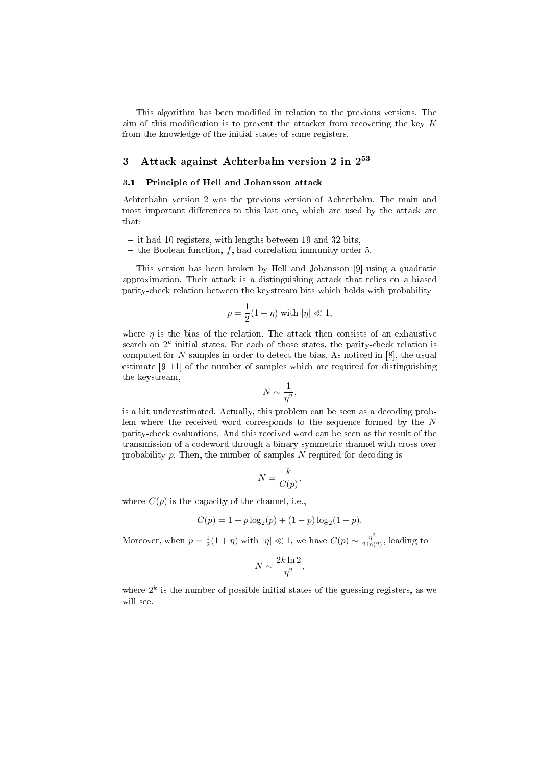This algorithm has been modified in relation to the previous versions. The aim of this modification is to prevent the attacker from recovering the key  $K$ from the knowledge of the initial states of some registers.

# 3 Attack against Achterbahn version 2 in 2 53

### 3.1 Principle of Hell and Johansson attack

Achterbahn version 2 was the previous version of Achterbahn. The main and most important differences to this last one, which are used by the attack are that:

- $-$  it had 10 registers, with lengths between 19 and 32 bits,
- the Boolean function, f, had correlation immunity order 5.

This version has been broken by Hell and Johansson [9] using a quadratic approximation. Their attack is a distinguishing attack that relies on a biased parity-check relation between the keystream bits which holds with probability

$$
p = \frac{1}{2}(1+\eta) \text{ with } |\eta| \ll 1,
$$

where  $\eta$  is the bias of the relation. The attack then consists of an exhaustive search on  $2^k$  initial states. For each of those states, the parity-check relation is computed for N samples in order to detect the bias. As noticed in [8], the usual estimate  $[9-11]$  of the number of samples which are required for distinguishing the keystream,

$$
N \sim \frac{1}{\eta^2},
$$

is a bit underestimated. Actually, this problem can be seen as a decoding problem where the received word corresponds to the sequence formed by the N parity-check evaluations. And this received word can be seen as the result of the transmission of a codeword through a binary symmetric channel with cross-over probability  $p$ . Then, the number of samples  $N$  required for decoding is

$$
N = \frac{k}{C(p)},
$$

where  $C(p)$  is the capacity of the channel, i.e.,

$$
C(p) = 1 + p \log_2(p) + (1 - p) \log_2(1 - p).
$$

Moreover, when  $p = \frac{1}{2}(1 + \eta)$  with  $|\eta| \ll 1$ , we have  $C(p) \sim \frac{\eta^2}{2\ln(2)}$ , leading to

$$
N \sim \frac{2k\ln 2}{\eta^2},
$$

where  $2^k$  is the number of possible initial states of the guessing registers, as we will see.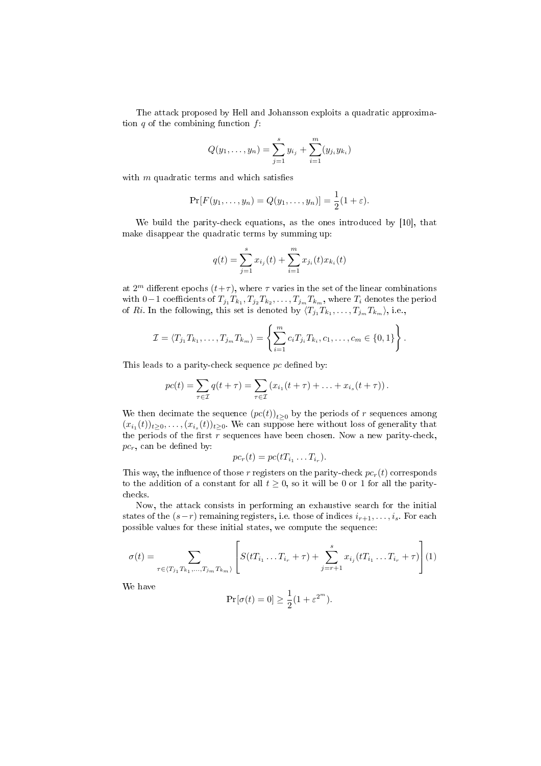The attack proposed by Hell and Johansson exploits a quadratic approximation  $q$  of the combining function  $f$ :

$$
Q(y_1,\ldots,y_n)=\sum_{j=1}^s y_{i_j}+\sum_{i=1}^m (y_{j_i}y_{k_i})
$$

with  $m$  quadratic terms and which satisfies

$$
Pr[F(y_1,..., y_n) = Q(y_1,..., y_n)] = \frac{1}{2}(1+\varepsilon).
$$

We build the parity-check equations, as the ones introduced by [10], that make disappear the quadratic terms by summing up:

$$
q(t) = \sum_{j=1}^{s} x_{i_j}(t) + \sum_{i=1}^{m} x_{j_i}(t) x_{k_i}(t)
$$

at  $2^m$  different epochs  $(t+\tau)$ , where  $\tau$  varies in the set of the linear combinations with 0−1 coefficients of  $T_{j_1}T_{k_1}, T_{j_2}T_{k_2}, \ldots, T_{j_m}T_{k_m},$  where  $T_i$  denotes the period of Ri. In the following, this set is denoted by  $\langle T_{j_1} T_{k_1}, \ldots, T_{j_m} T_{k_m} \rangle$ , i.e.,

$$
\mathcal{I} = \langle T_{j_1} T_{k_1}, \dots, T_{j_m} T_{k_m} \rangle = \left\{ \sum_{i=1}^m c_i T_{j_i} T_{k_i}, c_1, \dots, c_m \in \{0, 1\} \right\}.
$$

This leads to a parity-check sequence  $pc$  defined by:

$$
pc(t) = \sum_{\tau \in \mathcal{I}} q(t + \tau) = \sum_{\tau \in \mathcal{I}} (x_{i_1}(t + \tau) + \ldots + x_{i_s}(t + \tau)).
$$

We then decimate the sequence  $(pc(t))_{t\geq 0}$  by the periods of r sequences among  $(x_{i_1}(t))_{t\geq 0}, \ldots, (x_{i_s}(t))_{t\geq 0}$ . We can suppose here without loss of generality that the periods of the first r sequences have been chosen. Now a new parity-check,  $pc<sub>r</sub>$ , can be defined by:

$$
pc_r(t) = pc(tT_{i_1} \dots T_{i_r}).
$$

This way, the influence of those r registers on the parity-check  $pc<sub>r</sub>(t)$  corresponds to the addition of a constant for all  $t > 0$ , so it will be 0 or 1 for all the paritychecks.

Now, the attack consists in performing an exhaustive search for the initial states of the  $(s-r)$  remaining registers, i.e. those of indices  $i_{r+1}, \ldots, i_s$ . For each possible values for these initial states, we compute the sequence:

$$
\sigma(t) = \sum_{\tau \in \langle T_{j_1} T_{k_1}, \dots, T_{j_m} T_{k_m} \rangle} \left[ S(tT_{i_1} \dots T_{i_r} + \tau) + \sum_{j=r+1}^s x_{i_j} (tT_{i_1} \dots T_{i_r} + \tau) \right] (1)
$$

We have

$$
\Pr[\sigma(t) = 0] \ge \frac{1}{2}(1 + \varepsilon^{2^m}).
$$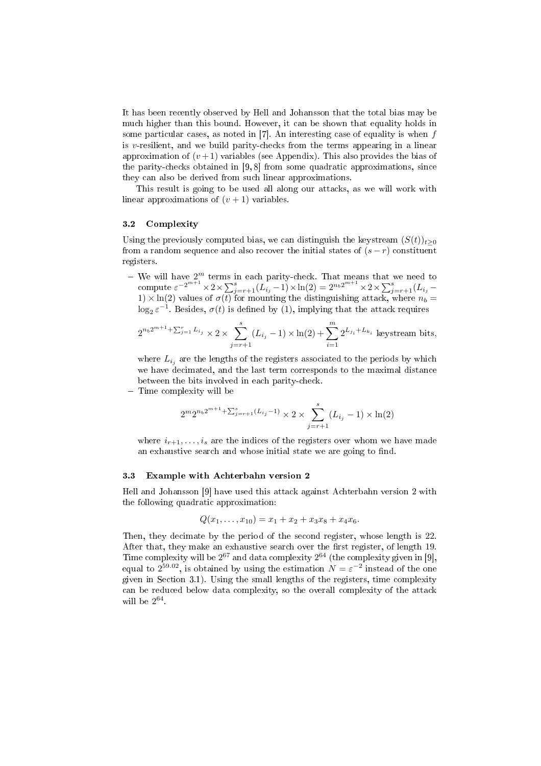It has been recently observed by Hell and Johansson that the total bias may be much higher than this bound. However, it can be shown that equality holds in some particular cases, as noted in  $[7]$ . An interesting case of equality is when f is  $v$ -resilient, and we build parity-checks from the terms appearing in a linear approximation of  $(v+1)$  variables (see Appendix). This also provides the bias of the parity-checks obtained in [9, 8] from some quadratic approximations, since they can also be derived from such linear approximations.

This result is going to be used all along our attacks, as we will work with linear approximations of  $(v + 1)$  variables.

#### 3.2 Complexity

Using the previously computed bias, we can distinguish the keystream  $(S(t))_{t\geq0}$ from a random sequence and also recover the initial states of  $(s - r)$  constituent registers.

 $-$  We will have  $2^m$  terms in each parity-check. That means that we need to we will have  $2^{m}$  terms in each parity-check. That means that we need to compute  $\varepsilon^{-2^{m+1}} \times 2 \times \sum_{j=r+1}^{s} (L_{i_j} - 1) \times \ln(2) = 2^{n_b 2^{m+1}} \times 2 \times \sum_{j=r+1}^{s} (L_{i_j} - 1)$  $1) \times \ln(2)$  values of  $\sigma(t)$  for mounting the distinguishing attack, where  $n_b =$  $\log_2 \varepsilon^{-1}$ . Besides,  $\sigma(t)$  is defined by (1), implying that the attack requires

$$
2^{n_b 2^{m+1} + \sum_{j=1}^r L_{i_j}} \times 2 \times \sum_{j=r+1}^s (L_{i_j} - 1) \times \ln(2) + \sum_{i=1}^m 2^{L_{j_i} + L_{k_i}}
$$
 keystream bits,

where  $L_{i_j}$  are the lengths of the registers associated to the periods by which we have decimated, and the last term corresponds to the maximal distance between the bits involved in each parity-check.

- Time complexity will be

$$
2^{m}2^{n_b 2^{m+1} + \sum_{j=r+1}^{s} (L_{i_j} - 1)} \times 2 \times \sum_{j=r+1}^{s} (L_{i_j} - 1) \times \ln(2)
$$

where  $i_{r+1}, \ldots, i_s$  are the indices of the registers over whom we have made an exhaustive search and whose initial state we are going to find.

#### 3.3 Example with Achterbahn version 2

Hell and Johansson [9] have used this attack against Achterbahn version 2 with the following quadratic approximation:

$$
Q(x_1,\ldots,x_{10})=x_1+x_2+x_3x_8+x_4x_6.
$$

Then, they decimate by the period of the second register, whose length is 22. After that, they make an exhaustive search over the first register, of length 19. Time complexity will be  $2^{67}$  and data complexity  $2^{64}$  (the complexity given in [9], equal to  $2^{59.02}$ , is obtained by using the estimation  $N = \varepsilon^{-2}$  instead of the one given in Section 3.1). Using the small lengths of the registers, time complexity can be reduced below data complexity, so the overall complexity of the attack will be  $2^{64}$ .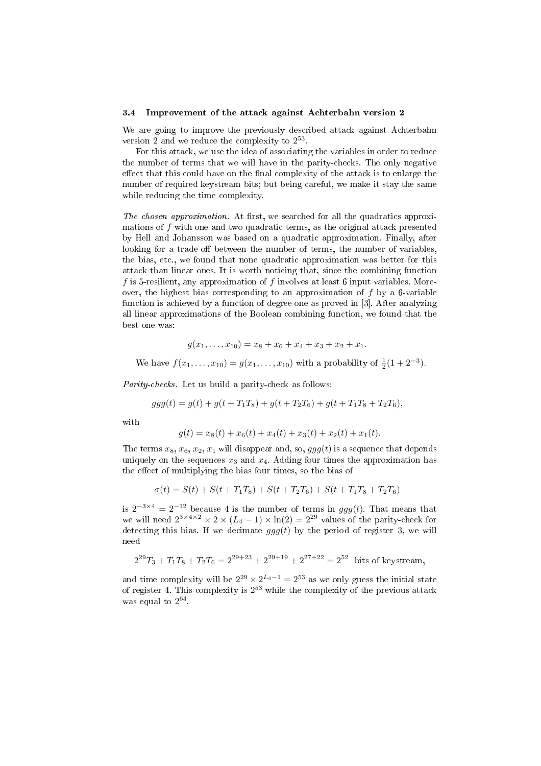#### 3.4 Improvement of the attack against Achterbahn version 2

We are going to improve the previously described attack against Achterbahn version 2 and we reduce the complexity to  $2^{53}$ .

For this attack, we use the idea of associating the variables in order to reduce the number of terms that we will have in the parity-checks. The only negative effect that this could have on the final complexity of the attack is to enlarge the number of required keystream bits; but being careful, we make it stay the same while reducing the time complexity.

The chosen approximation. At first, we searched for all the quadratics approximations of f with one and two quadratic terms, as the original attack presented by Hell and Johansson was based on a quadratic approximation. Finally, after looking for a trade-off between the number of terms, the number of variables, the bias, etc., we found that none quadratic approximation was better for this attack than linear ones. It is worth noticing that, since the combining function f is 5-resilient, any approximation of f involves at least 6 input variables. Moreover, the highest bias corresponding to an approximation of  $f$  by a 6-variable function is achieved by a function of degree one as proved in [3]. After analyzing all linear approximations of the Boolean combining function, we found that the best one was:

$$
g(x_1,\ldots,x_{10})=x_8+x_6+x_4+x_3+x_2+x_1.
$$

We have  $f(x_1,...,x_{10}) = g(x_1,...,x_{10})$  with a probability of  $\frac{1}{2}(1+2^{-3})$ .

Parity-checks. Let us build a parity-check as follows:

$$
ggg(t) = g(t) + g(t + T_1T_8) + g(t + T_2T_6) + g(t + T_1T_8 + T_2T_6),
$$

with

$$
g(t) = x_8(t) + x_6(t) + x_4(t) + x_3(t) + x_2(t) + x_1(t).
$$

The terms  $x_8, x_6, x_2, x_1$  will disappear and, so,  $qqq(t)$  is a sequence that depends uniquely on the sequences  $x_3$  and  $x_4$ . Adding four times the approximation has the effect of multiplying the bias four times, so the bias of

$$
\sigma(t) = S(t) + S(t + T_1T_8) + S(t + T_2T_6) + S(t + T_1T_8 + T_2T_6)
$$

is  $2^{-3\times4} = 2^{-12}$  because 4 is the number of terms in  $ggg(t)$ . That means that we will need  $2^{3 \times 4 \times 2} \times (L_4 - 1) \times \ln(2) = 2^{29}$  values of the parity-check for detecting this bias. If we decimate  $ggg(t)$  by the period of register 3, we will need

$$
2^{29}T_3 + T_1T_8 + T_2T_6 = 2^{29+23} + 2^{29+19} + 2^{27+22} = 2^{52} \text{ bits of keystream},
$$

and time complexity will be  $2^{29} \times 2^{L_4-1} = 2^{53}$  as we only guess the initial state of register 4. This complexity is  $2^{53}$  while the complexity of the previous attack was equal to  $2^{64}$ .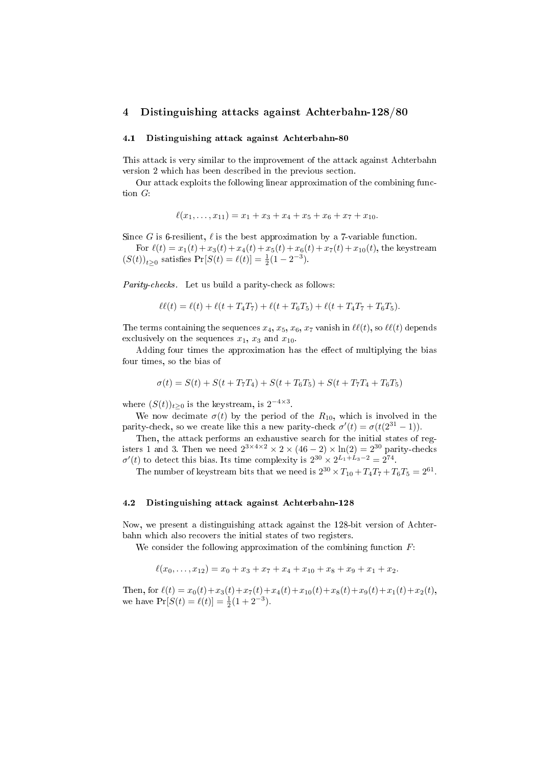### 4 Distinguishing attacks against Achterbahn-128/80

#### 4.1 Distinguishing attack against Achterbahn-80

This attack is very similar to the improvement of the attack against Achterbahn version 2 which has been described in the previous section.

Our attack exploits the following linear approximation of the combining function G:

$$
\ell(x_1,\ldots,x_{11})=x_1+x_3+x_4+x_5+x_6+x_7+x_{10}.
$$

Since G is 6-resilient,  $\ell$  is the best approximation by a 7-variable function.

For  $\ell(t) = x_1(t) + x_3(t) + x_4(t) + x_5(t) + x_6(t) + x_7(t) + x_{10}(t)$ , the keystream  $(S(t))_{t\geq 0}$  satisfies  $Pr[S(t) = \ell(t)] = \frac{1}{2}(1 - 2^{-3}).$ 

Parity-checks. Let us build a parity-check as follows:

$$
\ell\ell(t) = \ell(t) + \ell(t + T_4T_7) + \ell(t + T_6T_5) + \ell(t + T_4T_7 + T_6T_5).
$$

The terms containing the sequences  $x_4, x_5, x_6, x_7$  vanish in  $\ell\ell(t)$ , so  $\ell\ell(t)$  depends exclusively on the sequences  $x_1, x_3$  and  $x_{10}$ .

Adding four times the approximation has the effect of multiplying the bias four times, so the bias of

$$
\sigma(t) = S(t) + S(t + T_7T_4) + S(t + T_6T_5) + S(t + T_7T_4 + T_6T_5)
$$

where  $(S(t))_{t\geq 0}$  is the keystream, is  $2^{-4\times 3}$ .

We now decimate  $\sigma(t)$  by the period of the  $R_{10}$ , which is involved in the parity-check, so we create like this a new parity-check  $\sigma'(t) = \sigma(t(2^{31} - 1))$ .

Then, the attack performs an exhaustive search for the initial states of registers 1 and 3. Then we need  $2^{3 \times 4 \times 2} \times 2 \times (46 - 2) \times \ln(2) = 2^{30}$  parity-checks  $\sigma'(t)$  to detect this bias. Its time complexity is  $2^{30} \times 2^{L_1+L_3-2} = 2^{74}$ .

The number of keystream bits that we need is  $2^{30} \times T_{10} + T_4T_7 + T_6T_5 = 2^{61}$ .

### 4.2 Distinguishing attack against Achterbahn-128

Now, we present a distinguishing attack against the 128-bit version of Achterbahn which also recovers the initial states of two registers.

We consider the following approximation of the combining function  $F$ :

$$
\ell(x_0,\ldots,x_{12})=x_0+x_3+x_7+x_4+x_{10}+x_8+x_9+x_1+x_2.
$$

Then, for  $\ell(t) = x_0(t) + x_3(t) + x_7(t) + x_4(t) + x_{10}(t) + x_8(t) + x_9(t) + x_1(t) + x_2(t),$ we have  $\Pr[S(t) = \ell(t)] = \frac{1}{2}(1 + 2^{-3}).$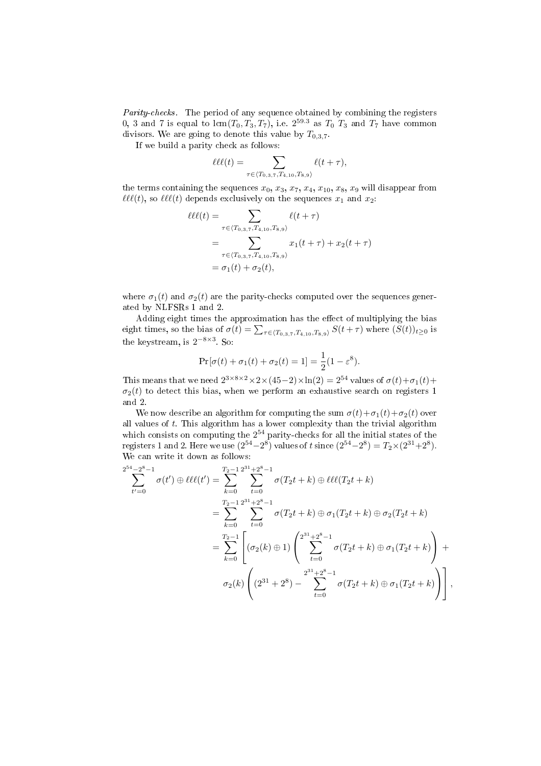Parity-checks. The period of any sequence obtained by combining the registers 0, 3 and 7 is equal to  $\text{lcm}(T_0, T_3, T_7)$ , i.e.  $2^{59.3}$  as  $T_0$   $T_3$  and  $T_7$  have common divisors. We are going to denote this value by  $T_{0,3,7}$ .

If we build a parity check as follows:

$$
\ell\ell\ell(t) = \sum_{\tau \in \langle T_{0,3,7}, T_{4,10}, T_{8,9} \rangle} \ell(t+\tau),
$$

the terms containing the sequences  $x_0, x_3, x_7, x_4, x_{10}, x_8, x_9$  will disappear from  $\ell\ell(\ell(t))$ , so  $\ell\ell(\ell(t))$  depends exclusively on the sequences  $x_1$  and  $x_2$ :

$$
\ell\ell(t) = \sum_{\tau \in \langle T_{0,3,7}, T_{4,10}, T_{8,9} \rangle} \ell(t + \tau)
$$
  
= 
$$
\sum_{\tau \in \langle T_{0,3,7}, T_{4,10}, T_{8,9} \rangle} x_1(t + \tau) + x_2(t + \tau)
$$
  
= 
$$
\sigma_1(t) + \sigma_2(t),
$$

where  $\sigma_1(t)$  and  $\sigma_2(t)$  are the parity-checks computed over the sequences generated by NLFSRs 1 and 2.

Adding eight times the approximation has the effect of multiplying the bias Adding eight times the approximation has the effect of multiplying the bias<br>eight times, so the bias of  $\sigma(t) = \sum_{\tau \in \langle T_{0,3,7}, T_{4,10}, T_{8,9} \rangle} S(t + \tau)$  where  $(S(t))_{t \geq 0}$  is the keystream, is  $2^{-8 \times 3}$ . So:

$$
Pr[\sigma(t) + \sigma_1(t) + \sigma_2(t) = 1] = \frac{1}{2}(1 - \varepsilon^8).
$$

This means that we need  $2^{3 \times 8 \times 2} \times 2 \times (45-2) \times \ln(2) = 2^{54}$  values of  $\sigma(t) + \sigma_1(t) +$  $\sigma_2(t)$  to detect this bias, when we perform an exhaustive search on registers 1 and 2.

We now describe an algorithm for computing the sum  $\sigma(t)+\sigma_1(t)+\sigma_2(t)$  over all values of  $t$ . This algorithm has a lower complexity than the trivial algorithm which consists on computing the  $2^{54}$  parity-checks for all the initial states of the registers 1 and 2. Here we use  $(2^{54}-2^8)$  values of t since  $(2^{54}-2^8) = T_2 \times (2^{31}+2^8)$ . We can write it down as follows:

$$
\sum_{t'=0}^{2^{54}-2^{8}-1} \sigma(t') \oplus \ell\ell\ell(t') = \sum_{k=0}^{T_{2}-1} \sum_{t=0}^{2^{31}+2^{8}-1} \sigma(T_{2}t+k) \oplus \ell\ell\ell(T_{2}t+k)
$$
  
\n
$$
= \sum_{k=0}^{T_{2}-1} \sum_{t=0}^{2^{31}+2^{8}-1} \sigma(T_{2}t+k) \oplus \sigma_{1}(T_{2}t+k) \oplus \sigma_{2}(T_{2}t+k)
$$
  
\n
$$
= \sum_{k=0}^{T_{2}-1} \left[ (\sigma_{2}(k) \oplus 1) \left( \sum_{t=0}^{2^{31}+2^{8}-1} \sigma(T_{2}t+k) \oplus \sigma_{1}(T_{2}t+k) \right) + \sigma_{2}(k) \left( (2^{31}+2^{8}) - \sum_{t=0}^{2^{31}+2^{8}-1} \sigma(T_{2}t+k) \oplus \sigma_{1}(T_{2}t+k) \right) \right],
$$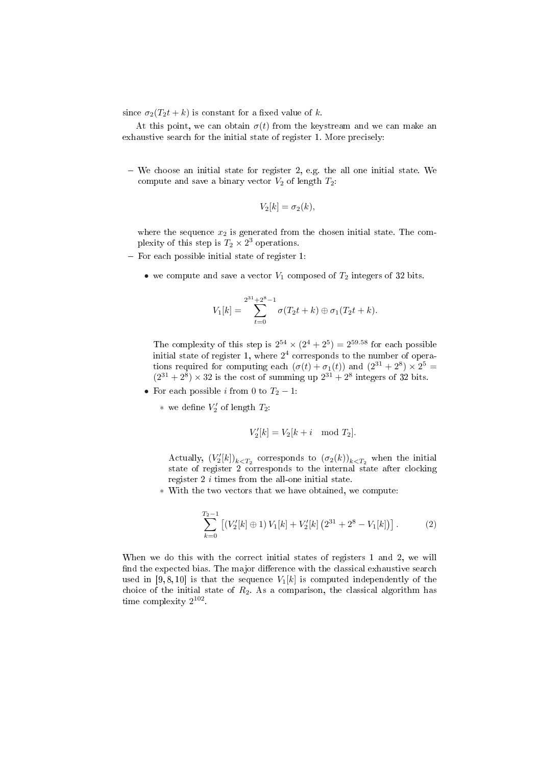since  $\sigma_2(T_2t + k)$  is constant for a fixed value of k.

At this point, we can obtain  $\sigma(t)$  from the keystream and we can make an exhaustive search for the initial state of register 1. More precisely:

 $-$  We choose an initial state for register 2, e.g. the all one initial state. We compute and save a binary vector  $V_2$  of length  $T_2$ :

$$
V_2[k] = \sigma_2(k),
$$

where the sequence  $x_2$  is generated from the chosen initial state. The complexity of this step is  $T_2 \times 2^3$  operations.

- $-$  For each possible initial state of register 1:
	- we compute and save a vector  $V_1$  composed of  $T_2$  integers of 32 bits.

$$
V_1[k] = \sum_{t=0}^{2^{31}+2^8-1} \sigma(T_2t+k) \oplus \sigma_1(T_2t+k).
$$

The complexity of this step is  $2^{54} \times (2^4 + 2^5) = 2^{59.58}$  for each possible initial state of register 1, where  $2<sup>4</sup>$  corresponds to the number of operations required for computing each  $(\sigma(t) + \sigma_1(t))$  and  $(2^{31} + 2^8) \times 2^5 =$  $(2^{31} + 2^8) \times 32$  is the cost of summing up  $2^{31} + 2^8$  integers of 32 bits.

- For each possible *i* from 0 to  $T_2 1$ :
	- $*$  we define  $V'_2$  of length  $T_2$ :

$$
V_2'[k] = V_2[k+i \mod T_2].
$$

Actually,  $(V'_2[k])_{k \le T_2}$  corresponds to  $(\sigma_2(k))_{k \le T_2}$  when the initial state of register 2 corresponds to the internal state after clocking register 2 i times from the all-one initial state.

∗ With the two vectors that we have obtained, we compute:

$$
\sum_{k=0}^{T_2-1} \left[ \left( V_2'[k] \oplus 1 \right) V_1[k] + V_2'[k] \left( 2^{31} + 2^8 - V_1[k] \right) \right]. \tag{2}
$$

When we do this with the correct initial states of registers 1 and 2, we will find the expected bias. The major difference with the classical exhaustive search used in [9, 8, 10] is that the sequence  $V_1[k]$  is computed independently of the choice of the initial state of  $R_2$ . As a comparison, the classical algorithm has time complexity  $2^{102}$ .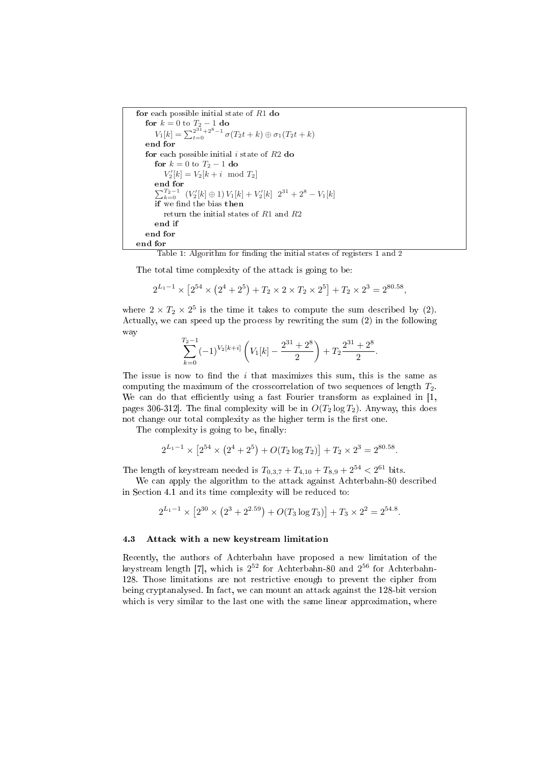```
for each possible initial state of R1 do
   for k = 0 to T_2 - 1 do<br>
V_1[k] = \sum_{t=0}^{2^{31}+2^8-1} \sigma(T_2t+k) \oplus \sigma_1(T_2t+k)end for
  for each possible initial i state of R2 do
      for k = 0 to T_2 - 1 do
          V'_{2}[k] = V_{2}[k+i \mod T_{2}]end for
      end for<br>
\sum_{k=0}^{T_2-1} (V'_2[k] ⊕ 1) V_1[k] + V'_2[k] 2^{31} + 2^8 - V_1[k]if we find the bias then
         return the initial states of R1 and R2
      end if
   end for
end for
```
Table 1: Algorithm for finding the initial states of registers 1 and 2

The total time complexity of the attack is going to be:

$$
2^{L_1-1} \times \left[2^{54} \times \left(2^4 + 2^5\right) + T_2 \times 2 \times T_2 \times 2^5\right] + T_2 \times 2^3 = 2^{80.58},
$$

where  $2 \times T_2 \times 2^5$  is the time it takes to compute the sum described by (2). Actually, we can speed up the process by rewriting the sum (2) in the following way

$$
\sum_{k=0}^{T_2-1}(-1)^{V_2[k+i]}\left(V_1[k]-\frac{2^{31}+2^8}{2}\right)+T_2\frac{2^{31}+2^8}{2}.
$$

The issue is now to find the  $i$  that maximizes this sum, this is the same as computing the maximum of the crosscorrelation of two sequences of length  $T_2$ . We can do that efficiently using a fast Fourier transform as explained in  $[1,$ pages 306-312. The final complexity will be in  $O(T_2 \log T_2)$ . Anyway, this does not change our total complexity as the higher term is the first one.

The complexity is going to be, finally:

$$
2^{L_1-1} \times \left[2^{54} \times \left(2^4 + 2^5\right) + O(T_2 \log T_2)\right] + T_2 \times 2^3 = 2^{80.58}.
$$

The length of keystream needed is  $T_{0,3,7} + T_{4,10} + T_{8,9} + 2^{54} < 2^{61}$  bits.

We can apply the algorithm to the attack against Achterbahn-80 described in Section 4.1 and its time complexity will be reduced to:

$$
2^{L_1-1} \times \left[2^{30} \times \left(2^3 + 2^{2.59}\right) + O(T_3 \log T_3)\right] + T_3 \times 2^2 = 2^{54.8}.
$$

#### 4.3 Attack with a new keystream limitation

Recently, the authors of Achterbahn have proposed a new limitation of the keystream length [7], which is  $2^{52}$  for Achterbahn-80 and  $2^{56}$  for Achterbahn-128. Those limitations are not restrictive enough to prevent the cipher from being cryptanalysed. In fact, we can mount an attack against the 128-bit version which is very similar to the last one with the same linear approximation, where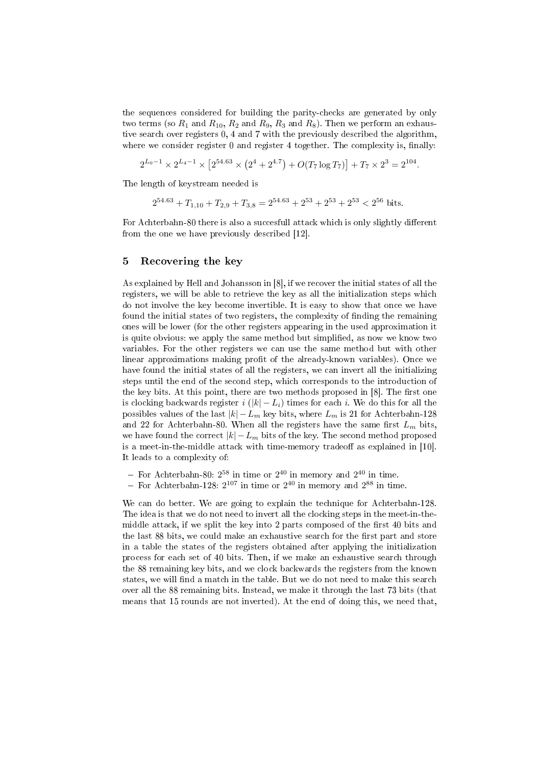the sequences considered for building the parity-checks are generated by only two terms (so  $R_1$  and  $R_{10}$ ,  $R_2$  and  $R_9$ ,  $R_3$  and  $R_8$ ). Then we perform an exhaustive search over registers 0, 4 and 7 with the previously described the algorithm, where we consider register  $0$  and register  $4$  together. The complexity is, finally:

$$
2^{L_0-1} \times 2^{L_4-1} \times \left[2^{54.63} \times \left(2^4 + 2^{4.7}\right) + O(T_7 \log T_7)\right] + T_7 \times 2^3 = 2^{104}.
$$

The length of keystream needed is

$$
2^{54.63} + T_{1,10} + T_{2,9} + T_{3,8} = 2^{54.63} + 2^{53} + 2^{53} + 2^{53} < 2^{56} \text{ bits.}
$$

For Achterbahn-80 there is also a succesfull attack which is only slightly different from the one we have previously described [12].

### 5 Recovering the key

As explained by Hell and Johansson in [8], if we recover the initial states of all the registers, we will be able to retrieve the key as all the initialization steps which do not involve the key become invertible. It is easy to show that once we have found the initial states of two registers, the complexity of finding the remaining ones will be lower (for the other registers appearing in the used approximation it is quite obvious: we apply the same method but simplied, as now we know two variables. For the other registers we can use the same method but with other linear approximations making profit of the already-known variables). Once we have found the initial states of all the registers, we can invert all the initializing steps until the end of the second step, which corresponds to the introduction of the key bits. At this point, there are two methods proposed in  $[8]$ . The first one is clocking backwards register i  $(|k| - L_i)$  times for each i. We do this for all the possibles values of the last  $|k| - L_m$  key bits, where  $L_m$  is 21 for Achterbahn-128 and 22 for Achterbahn-80. When all the registers have the same first  $L_m$  bits, we have found the correct  $|k| - L_m$  bits of the key. The second method proposed is a meet-in-the-middle attack with time-memory tradeoff as explained in  $[10]$ . It leads to a complexity of:

- For Achterbahn-80:  $2^{58}$  in time or  $2^{40}$  in memory and  $2^{40}$  in time.

- For Achterbahn-128:  $2^{107}$  in time or  $2^{40}$  in memory and  $2^{88}$  in time.

We can do better. We are going to explain the technique for Achterbahn-128. The idea is that we do not need to invert all the clocking steps in the meet-in-themiddle attack, if we split the key into 2 parts composed of the first 40 bits and the last 88 bits, we could make an exhaustive search for the first part and store in a table the states of the registers obtained after applying the initialization process for each set of 40 bits. Then, if we make an exhaustive search through the 88 remaining key bits, and we clock backwards the registers from the known states, we will find a match in the table. But we do not need to make this search over all the 88 remaining bits. Instead, we make it through the last 73 bits (that means that 15 rounds are not inverted). At the end of doing this, we need that,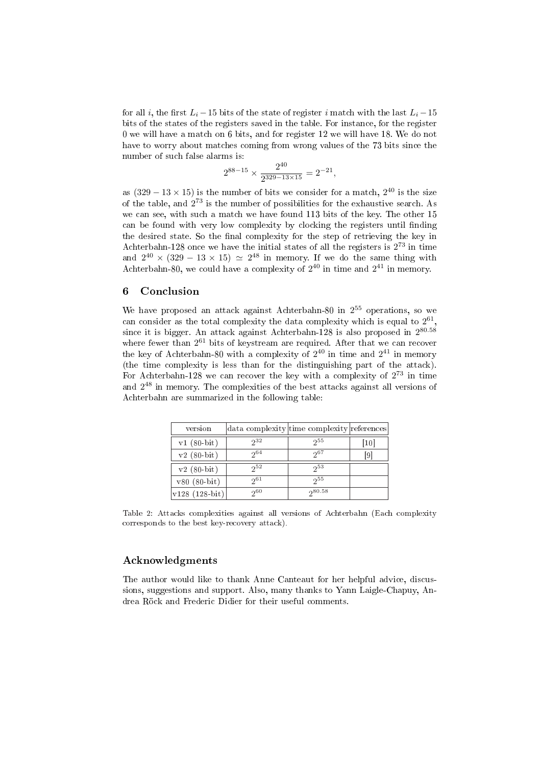for all i, the first  $L_i - 15$  bits of the state of register i match with the last  $L_i - 15$ bits of the states of the registers saved in the table. For instance, for the register 0 we will have a match on 6 bits, and for register 12 we will have 18. We do not have to worry about matches coming from wrong values of the 73 bits since the number of such false alarms is:

$$
2^{88-15} \times \frac{2^{40}}{2^{329-13 \times 15}} = 2^{-21},
$$

as  $(329 - 13 \times 15)$  is the number of bits we consider for a match,  $2^{40}$  is the size of the table, and 2 <sup>73</sup> is the number of possibilities for the exhaustive search. As we can see, with such a match we have found 113 bits of the key. The other 15 can be found with very low complexity by clocking the registers until finding the desired state. So the final complexity for the step of retrieving the key in Achterbahn-128 once we have the initial states of all the registers is  $2^{73}$  in time and  $2^{40} \times (329 - 13 \times 15) \simeq 2^{48}$  in memory. If we do the same thing with Achterbahn-80, we could have a complexity of  $2^{40}$  in time and  $2^{41}$  in memory.

### 6 Conclusion

We have proposed an attack against Achterbahn-80 in 2 <sup>55</sup> operations, so we can consider as the total complexity the data complexity which is equal to  $2^{61}$ , since it is bigger. An attack against Achterbahn-128 is also proposed in  $2^{80.58}$ where fewer than  $2^{61}$  bits of keystream are required. After that we can recover the key of Achterbahn-80 with a complexity of  $2^{40}$  in time and  $2^{41}$  in memory (the time complexity is less than for the distinguishing part of the attack). For Achterbahn-128 we can recover the key with a complexity of  $2^{73}$  in time and  $2^{48}$  in memory. The complexities of the best attacks against all versions of Achterbahn are summarized in the following table:

| version            |          | data complexity time complexity references |      |
|--------------------|----------|--------------------------------------------|------|
| $v1(80-bit)$       | $2^{32}$ | $2^{55}$                                   | [10] |
| $v2(80-bit)$       | 2064     | 2067                                       | 191  |
| $v2(80-bit)$       | $2^{52}$ | $2^{53}$                                   |      |
| $v80(80-bit)$      | $2^{61}$ | $2^{55}$                                   |      |
| $ v128 (128-bit) $ | 260      | 280.58                                     |      |

Table 2: Attacks complexities against all versions of Achterbahn (Each complexity corresponds to the best key-recovery attack).

### Acknowledgments

The author would like to thank Anne Canteaut for her helpful advice, discussions, suggestions and support. Also, many thanks to Yann Laigle-Chapuy, Andrea Röck and Frederic Didier for their useful comments.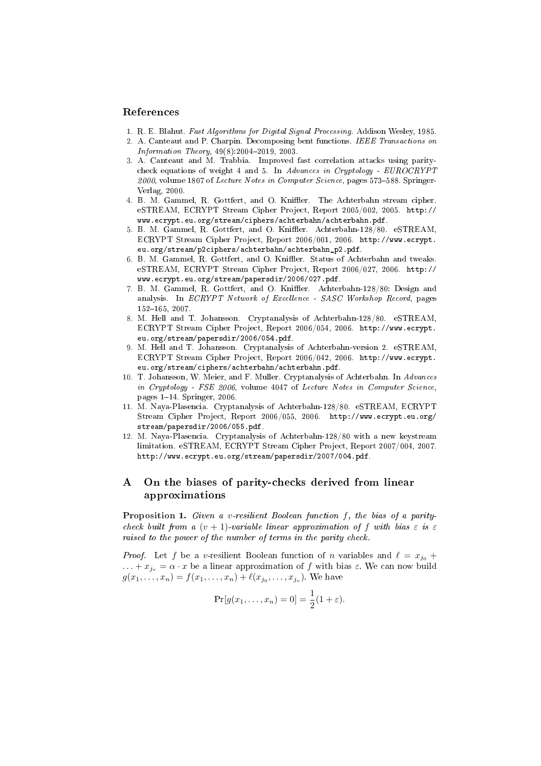#### References

- 1. R. E. Blahut. Fast Algorithms for Digital Signal Processing. Addison Wesley, 1985.
- 2. A. Canteaut and P. Charpin. Decomposing bent functions. IEEE Transactions on  $Information Theory, 49(8):2004-2019, 2003.$
- 3. A. Canteaut and M. Trabbia. Improved fast correlation attacks using paritycheck equations of weight 4 and 5. In Advances in Cryptology - EUROCRYPT  $2000$ , volume 1807 of Lecture Notes in Computer Science, pages 573-588. Springer-Verlag, 2000.
- 4. B. M. Gammel, R. Gottfert, and O. Kniffler. The Achterbahn stream cipher. eSTREAM, ECRYPT Stream Cipher Project, Report 2005/002, 2005. http:// www.ecrypt.eu.org/stream/ciphers/achterbahn/achterbahn.pdf.
- 5. B. M. Gammel, R. Gottfert, and O. Kniffler. Achterbahn-128/80. eSTREAM, ECRYPT Stream Cipher Project, Report 2006/001, 2006. http://www.ecrypt. eu.org/stream/p2ciphers/achterbahn/achterbahn\_p2.pdf.
- 6. B. M. Gammel, R. Gottfert, and O. Kniffler. Status of Achterbahn and tweaks. eSTREAM, ECRYPT Stream Cipher Project, Report 2006/027, 2006. http:// www.ecrypt.eu.org/stream/papersdir/2006/027.pdf.
- 7. B. M. Gammel, R. Gottfert, and O. Kniffler. Achterbahn-128/80: Design and analysis. In ECRYPT Network of Excellence - SASC Workshop Record, pages  $152 - 165$ , 2007.
- 8. M. Hell and T. Johansson. Cryptanalysis of Achterbahn-128/80. eSTREAM, ECRYPT Stream Cipher Project, Report 2006/054, 2006. http://www.ecrypt. eu.org/stream/papersdir/2006/054.pdf.
- 9. M. Hell and T. Johansson. Cryptanalysis of Achterbahn-version 2. eSTREAM, ECRYPT Stream Cipher Project, Report 2006/042, 2006. http://www.ecrypt. eu.org/stream/ciphers/achterbahn/achterbahn.pdf.
- 10. T. Johansson, W. Meier, and F. Muller. Cryptanalysis of Achterbahn. In Advances in Cryptology - FSE 2006, volume 4047 of Lecture Notes in Computer Science, pages  $1-14$ . Springer, 2006.
- 11. M. Naya-Plasencia. Cryptanalysis of Achterbahn-128/80. eSTREAM, ECRYPT Stream Cipher Project, Report 2006/055, 2006. http://www.ecrypt.eu.org/ stream/papersdir/2006/055.pdf.
- 12. M. Naya-Plasencia. Cryptanalysis of Achterbahn-128/80 with a new keystream limitation. eSTREAM, ECRYPT Stream Cipher Project, Report 2007/004, 2007. http://www.ecrypt.eu.org/stream/papersdir/2007/004.pdf.

# A On the biases of parity-checks derived from linear approximations

Proposition 1. Given a v-resilient Boolean function f, the bias of a paritycheck built from a  $(v + 1)$ -variable linear approximation of f with bias  $\varepsilon$  is  $\varepsilon$ raised to the power of the number of terms in the parity check.

*Proof.* Let f be a v-resilient Boolean function of n variables and  $\ell = x_{j_0} +$  $\ldots + x_{i_v} = \alpha \cdot x$  be a linear approximation of f with bias  $\varepsilon$ . We can now build  $g(x_1, \ldots, x_n) = f(x_1, \ldots, x_n) + \ell(x_{j_0}, \ldots, x_{j_v})$ . We have

$$
Pr[g(x_1,...,x_n) = 0] = \frac{1}{2}(1+\varepsilon).
$$